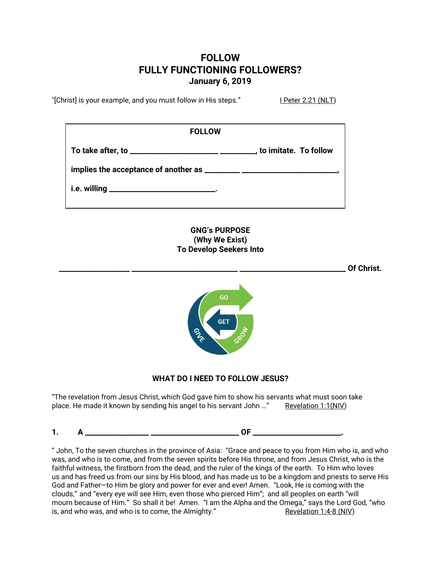## **FOLLOW FULLY FUNCTIONING FOLLOWERS? January 6, 2019**

"[Christ] is your example, and you must follow in His steps." I Peter 2:21 (NLT)

| <b>FOLLOW</b> |                          |
|---------------|--------------------------|
|               | _. to imitate. To follow |
|               |                          |
|               |                          |

**GNG's PURPOSE (Why We Exist) To Develop Seekers Into**

**\_\_\_\_\_\_\_\_\_\_\_\_\_\_\_\_\_\_\_\_ \_\_\_\_\_\_\_\_\_\_\_\_\_\_\_\_\_\_\_\_\_\_\_\_\_\_\_\_\_\_ \_\_\_\_\_\_\_\_\_\_\_\_\_\_\_\_\_\_\_\_\_\_\_\_\_\_\_\_\_\_ Of Christ.**



## **WHAT DO I NEED TO FOLLOW JESUS?**

"The revelation from Jesus Christ, which God gave him to show his servants what must soon take place. He made it known by sending his angel to his servant John ..." Revelation 1:1(NIV)

**1. A \_\_\_\_\_\_\_\_\_\_\_\_\_\_\_\_\_\_ \_\_\_\_\_\_\_\_\_\_\_\_\_\_\_\_\_\_\_\_\_\_\_\_\_ OF \_\_\_\_\_\_\_\_\_\_\_\_\_\_\_\_\_\_\_\_\_\_\_\_\_.**

" John, To the seven churches in the province of Asia: "Grace and peace to you from Him who is, and who was, and who is to come, and from the seven spirits before His throne, and from Jesus Christ, who is the faithful witness, the firstborn from the dead, and the ruler of the kings of the earth. To Him who loves us and has freed us from our sins by His blood, and has made us to be a kingdom and priests to serve His God and Father—to Him be glory and power for ever and ever! Amen. "Look, He is coming with the clouds," and "every eye will see Him, even those who pierced Him"; and all peoples on earth "will mourn because of Him." So shall it be! Amen. "I am the Alpha and the Omega," says the Lord God, "who is, and who was, and who is to come, the Almighty." Revelation 1:4-8 (NIV)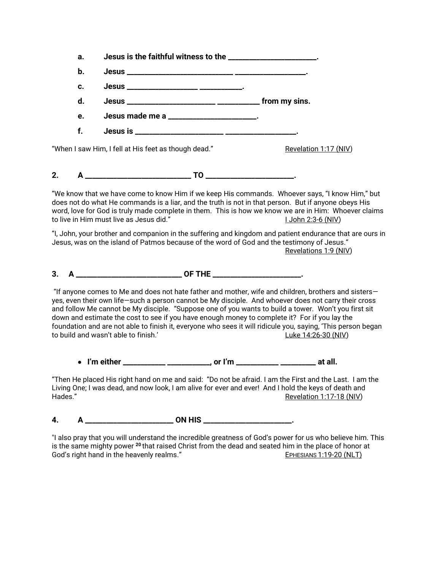| а.                                                                                                                                                                                                                                                                                                                                                                                                                                                                                                                                                                                                      | Jesus is the faithful witness to the _____________________.                                                                                                                                                                                                                                                                                                |  |                          |  |
|---------------------------------------------------------------------------------------------------------------------------------------------------------------------------------------------------------------------------------------------------------------------------------------------------------------------------------------------------------------------------------------------------------------------------------------------------------------------------------------------------------------------------------------------------------------------------------------------------------|------------------------------------------------------------------------------------------------------------------------------------------------------------------------------------------------------------------------------------------------------------------------------------------------------------------------------------------------------------|--|--------------------------|--|
| b.                                                                                                                                                                                                                                                                                                                                                                                                                                                                                                                                                                                                      |                                                                                                                                                                                                                                                                                                                                                            |  |                          |  |
| c.                                                                                                                                                                                                                                                                                                                                                                                                                                                                                                                                                                                                      |                                                                                                                                                                                                                                                                                                                                                            |  |                          |  |
| d.                                                                                                                                                                                                                                                                                                                                                                                                                                                                                                                                                                                                      |                                                                                                                                                                                                                                                                                                                                                            |  |                          |  |
| e.                                                                                                                                                                                                                                                                                                                                                                                                                                                                                                                                                                                                      | Jesus made me a ______________________.                                                                                                                                                                                                                                                                                                                    |  |                          |  |
| f.                                                                                                                                                                                                                                                                                                                                                                                                                                                                                                                                                                                                      |                                                                                                                                                                                                                                                                                                                                                            |  |                          |  |
|                                                                                                                                                                                                                                                                                                                                                                                                                                                                                                                                                                                                         | "When I saw Him, I fell at His feet as though dead."                                                                                                                                                                                                                                                                                                       |  | Revelation 1:17 (NIV)    |  |
| 2.                                                                                                                                                                                                                                                                                                                                                                                                                                                                                                                                                                                                      |                                                                                                                                                                                                                                                                                                                                                            |  |                          |  |
|                                                                                                                                                                                                                                                                                                                                                                                                                                                                                                                                                                                                         | "We know that we have come to know Him if we keep His commands. Whoever says, "I know Him," but<br>does not do what He commands is a liar, and the truth is not in that person. But if anyone obeys His<br>word, love for God is truly made complete in them. This is how we know we are in Him: Whoever claims<br>to live in Him must live as Jesus did." |  | 1 John 2:3-6 (NIV)       |  |
|                                                                                                                                                                                                                                                                                                                                                                                                                                                                                                                                                                                                         | "I, John, your brother and companion in the suffering and kingdom and patient endurance that are ours in<br>Jesus, was on the island of Patmos because of the word of God and the testimony of Jesus."                                                                                                                                                     |  | Revelations 1:9 (NIV)    |  |
|                                                                                                                                                                                                                                                                                                                                                                                                                                                                                                                                                                                                         |                                                                                                                                                                                                                                                                                                                                                            |  |                          |  |
| "If anyone comes to Me and does not hate father and mother, wife and children, brothers and sisters $-$<br>yes, even their own life—such a person cannot be My disciple. And whoever does not carry their cross<br>and follow Me cannot be My disciple. "Suppose one of you wants to build a tower. Won't you first sit<br>down and estimate the cost to see if you have enough money to complete it? For if you lay the<br>foundation and are not able to finish it, everyone who sees it will ridicule you, saying, 'This person began<br>to build and wasn't able to finish.'<br>Luke 14:26-30 (NIV) |                                                                                                                                                                                                                                                                                                                                                            |  |                          |  |
|                                                                                                                                                                                                                                                                                                                                                                                                                                                                                                                                                                                                         | • I'm either ____________ ___________, or I'm ___________ __________ at all.                                                                                                                                                                                                                                                                               |  |                          |  |
| Hades."                                                                                                                                                                                                                                                                                                                                                                                                                                                                                                                                                                                                 | "Then He placed His right hand on me and said: "Do not be afraid. I am the First and the Last. I am the<br>Living One; I was dead, and now look, I am alive for ever and ever! And I hold the keys of death and                                                                                                                                            |  | Revelation 1:17-18 (NIV) |  |
| 4.                                                                                                                                                                                                                                                                                                                                                                                                                                                                                                                                                                                                      | ON HIS_                                                                                                                                                                                                                                                                                                                                                    |  |                          |  |

"I also pray that you will understand the incredible greatness of God's power for us who believe him. This is the same mighty power **<sup>20</sup>** that raised Christ from the dead and seated him in the place of honor at God's right hand in the heavenly realms." The second series that the series of the series of the SPHESIANS 1:19-20 (NLT)